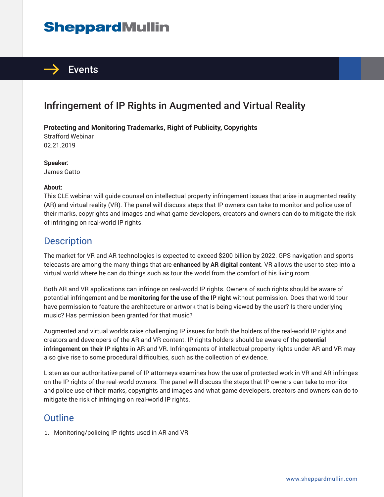# **SheppardMullin**



## Infringement of IP Rights in Augmented and Virtual Reality

#### **Protecting and Monitoring Trademarks, Right of Publicity, Copyrights**

Strafford Webinar 02.21.2019

**Speaker:** James Gatto

#### **About:**

This CLE webinar will guide counsel on intellectual property infringement issues that arise in augmented reality (AR) and virtual reality (VR). The panel will discuss steps that IP owners can take to monitor and police use of their marks, copyrights and images and what game developers, creators and owners can do to mitigate the risk of infringing on real-world IP rights.

### **Description**

The market for VR and AR technologies is expected to exceed \$200 billion by 2022. GPS navigation and sports telecasts are among the many things that are **enhanced by AR digital content**. VR allows the user to step into a virtual world where he can do things such as tour the world from the comfort of his living room.

Both AR and VR applications can infringe on real-world IP rights. Owners of such rights should be aware of potential infringement and be **monitoring for the use of the IP right** without permission. Does that world tour have permission to feature the architecture or artwork that is being viewed by the user? Is there underlying music? Has permission been granted for that music?

Augmented and virtual worlds raise challenging IP issues for both the holders of the real-world IP rights and creators and developers of the AR and VR content. IP rights holders should be aware of the **potential infringement on their IP rights** in AR and VR. Infringements of intellectual property rights under AR and VR may also give rise to some procedural difficulties, such as the collection of evidence.

Listen as our authoritative panel of IP attorneys examines how the use of protected work in VR and AR infringes on the IP rights of the real-world owners. The panel will discuss the steps that IP owners can take to monitor and police use of their marks, copyrights and images and what game developers, creators and owners can do to mitigate the risk of infringing on real-world IP rights.

#### **Outline**

1. Monitoring/policing IP rights used in AR and VR